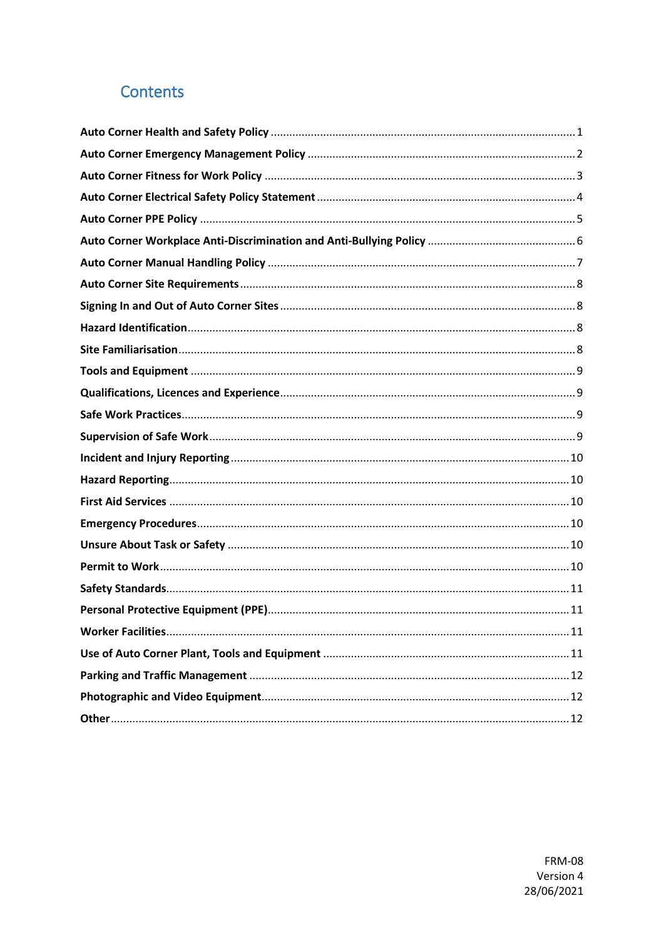# Contents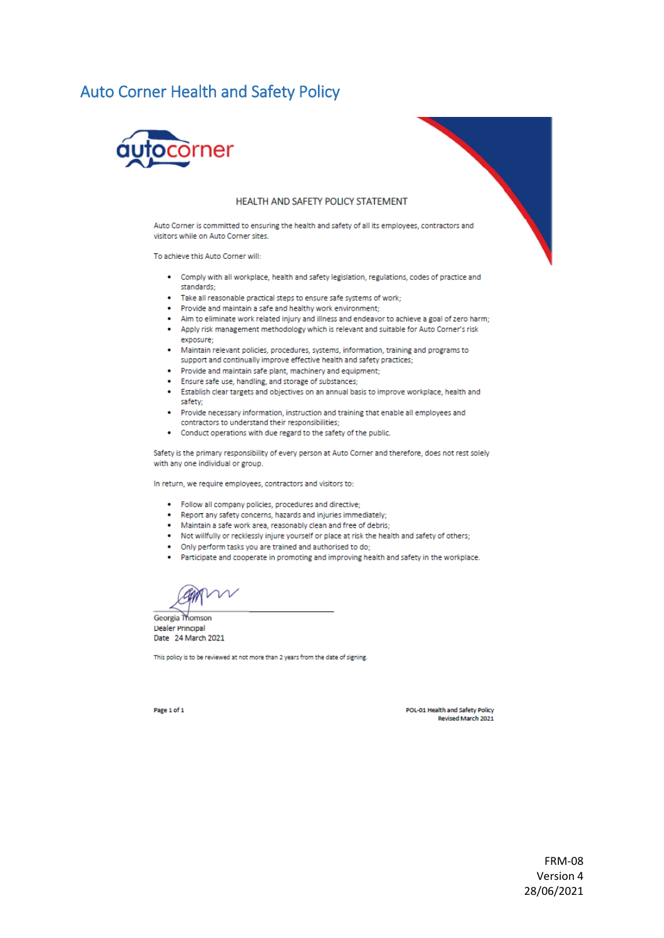### <span id="page-1-0"></span>**Auto Corner Health and Safety Policy**



#### HEALTH AND SAFETY POLICY STATEMENT

Auto Corner is committed to ensuring the health and safety of all its employees, contractors and visitors while on Auto Corner sites.

To achieve this Auto Corner will:

- Comply with all workplace, health and safety legislation, regulations, codes of practice and standards;
- . Take all reasonable practical steps to ensure safe systems of work;
- . Provide and maintain a safe and healthy work environment;
- Aim to eliminate work related injury and illness and endeavor to achieve a goal of zero harm;
- . Apply risk management methodology which is relevant and suitable for Auto Corner's risk exposure;
- Maintain relevant policies, procedures, systems, information, training and programs to support and continually improve effective health and safety practices;
- . Provide and maintain safe plant, machinery and equipment;
- Ensure safe use, handling, and storage of substances;
- . Establish clear targets and objectives on an annual basis to improve workplace, health and safety:
- Provide necessary information, instruction and training that enable all employees and contractors to understand their responsibilities:
- Conduct operations with due regard to the safety of the public.

Safety is the primary responsibility of every person at Auto Corner and therefore, does not rest solely with any one individual or group.

In return, we require employees, contractors and visitors to:

- . Follow all company policies, procedures and directive;
- . Report any safety concerns, hazards and injuries immediately;
- $\bullet$ Maintain a safe work area, reasonably clean and free of debris;
- . Not willfully or recklessly injure yourself or place at risk the health and safety of others:
- Only perform tasks you are trained and authorised to do;
- Participate and cooperate in promoting and improving health and safety in the workplace.

CAMY ∕ר

Georgia Thomson **Dealer Principal** Date 24 March 2021

This policy is to be reviewed at not more than 2 years from the date of signing.

POL-01 Health and Safety Policy Revised March 2021

Page 1 of 1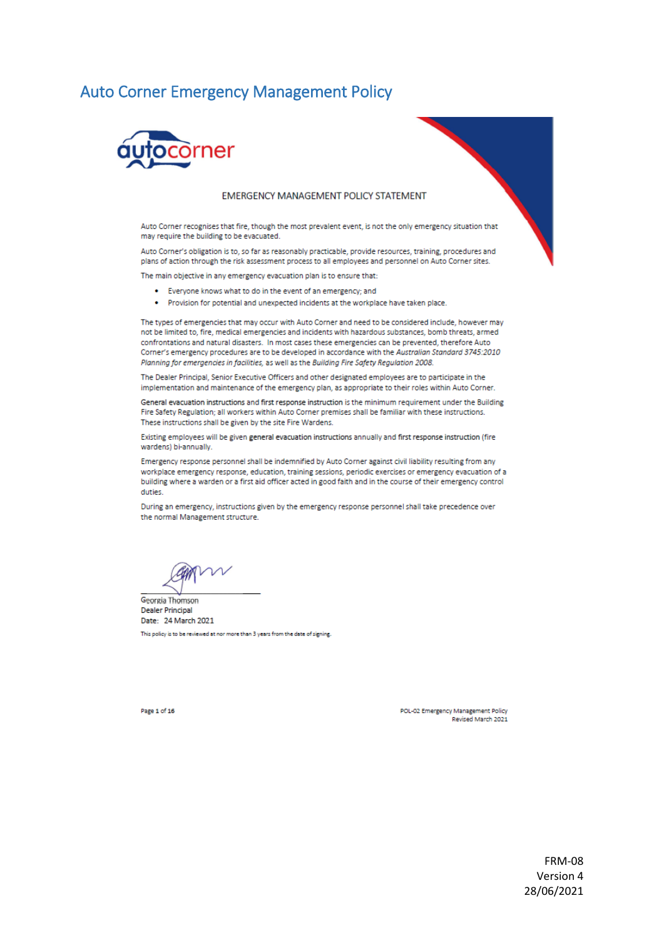#### <span id="page-2-0"></span>**Auto Corner Emergency Management Policy**



#### **EMERGENCY MANAGEMENT POLICY STATEMENT**

Auto Corner recognises that fire, though the most prevalent event, is not the only emergency situation that may require the building to be evacuated.

Auto Corner's obligation is to, so far as reasonably practicable, provide resources, training, procedures and plans of action through the risk assessment process to all employees and personnel on Auto Corner sites.

The main objective in any emergency evacuation plan is to ensure that:

- . Everyone knows what to do in the event of an emergency; and
- . Provision for potential and unexpected incidents at the workplace have taken place.

The types of emergencies that may occur with Auto Corner and need to be considered include, however may not be limited to, fire, medical emergencies and incidents with hazardous substances, bomb threats, armed confrontations and natural disasters. In most cases these emergencies can be prevented, therefore Auto Corner's emergency procedures are to be developed in accordance with the Australian Standard 3745:2010 Planning for emergencies in facilities, as well as the Building Fire Safety Regulation 2008.

The Dealer Principal, Senior Executive Officers and other designated employees are to participate in the implementation and maintenance of the emergency plan, as appropriate to their roles within Auto Corner.

General evacuation instructions and first response instruction is the minimum requirement under the Building Fire Safety Regulation; all workers within Auto Corner premises shall be familiar with these instructions. These instructions shall be given by the site Fire Wardens.

Existing employees will be given general evacuation instructions annually and first response instruction (fire wardens) bi-annually.

Emergency response personnel shall be indemnified by Auto Corner against civil liability resulting from any workplace emergency response, education, training sessions, periodic exercises or emergency evacuation of a building where a warden or a first aid officer acted in good faith and in the course of their emergency control duties.

During an emergency, instructions given by the emergency response personnel shall take precedence over the normal Management structure.

Georgia Thomson **Dealer Principal** Date: 24 March 2021 This policy is to be reviewed at nor more than 3 years from the date of signing.

Page 1 of 16

POL-02 Emergency Management Policy Revised March 2021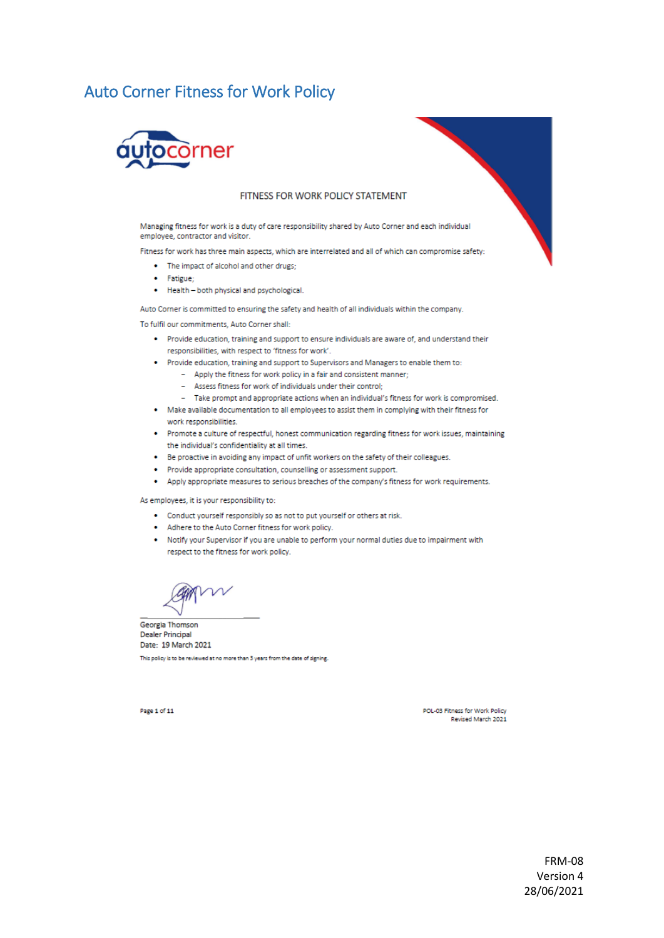# <span id="page-3-0"></span>**Auto Corner Fitness for Work Policy**



#### FITNESS FOR WORK POLICY STATEMENT

Managing fitness for work is a duty of care responsibility shared by Auto Corner and each individual employee, contractor and visitor.

Fitness for work has three main aspects, which are interrelated and all of which can compromise safety:

- The impact of alcohol and other drugs:
- · Fatigue:
- . Health both physical and psychological.

Auto Corner is committed to ensuring the safety and health of all individuals within the company.

To fulfil our commitments, Auto Corner shall:

- Provide education, training and support to ensure individuals are aware of, and understand their responsibilities, with respect to 'fitness for work'.
- . Provide education, training and support to Supervisors and Managers to enable them to:
	- Apply the fitness for work policy in a fair and consistent manner;
	- Assess fitness for work of individuals under their control:
	- Take prompt and appropriate actions when an individual's fitness for work is compromised.
- . Make available documentation to all employees to assist them in complying with their fitness for work responsibilities.
- Promote a culture of respectful, honest communication regarding fitness for work issues, maintaining the individual's confidentiality at all times.
- . Be proactive in avoiding any impact of unfit workers on the safety of their colleagues.
- · Provide appropriate consultation, counselling or assessment support.
- Apply appropriate measures to serious breaches of the company's fitness for work requirements.

#### As employees, it is your responsibility to:

- Conduct yourself responsibly so as not to put yourself or others at risk.
- Adhere to the Auto Corner fitness for work policy.
- . Notify your Supervisor if you are unable to perform your normal duties due to impairment with respect to the fitness for work policy.

Georgia Thomson **Dealer Principal** Date: 19 March 2021 This policy is to be reviewed at no more than 3 years from the date of signing.

POL-03 Fitness for Work Policy Revised March 2021

Page 1 of 11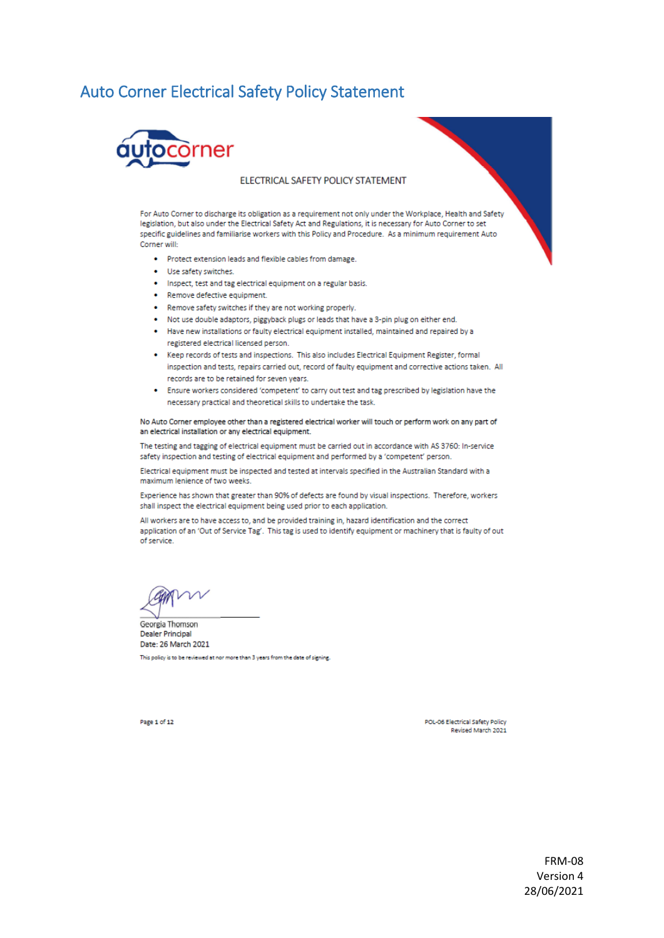### <span id="page-4-0"></span>**Auto Corner Electrical Safety Policy Statement**



#### ELECTRICAL SAFETY POLICY STATEMENT

For Auto Corner to discharge its obligation as a requirement not only under the Workplace, Health and Safety legislation, but also under the Electrical Safety Act and Regulations, it is necessary for Auto Corner to set specific guidelines and familiarise workers with this Policy and Procedure. As a minimum requirement Auto Corner will:

- . Protect extension leads and flexible cables from damage.
- Use safety switches.
- . Inspect, test and tag electrical equipment on a regular basis.
- Remove defective equipment.
- . Remove safety switches if they are not working properly.
- Not use double adaptors, piggyback plugs or leads that have a 3-pin plug on either end.
- Have new installations or faulty electrical equipment installed, maintained and repaired by a registered electrical licensed person.
- . Keep records of tests and inspections. This also includes Electrical Equipment Register, formal inspection and tests, repairs carried out, record of faulty equipment and corrective actions taken. All records are to be retained for seven years.
- . Ensure workers considered 'competent' to carry out test and tag prescribed by legislation have the necessary practical and theoretical skills to undertake the task.

No Auto Corner employee other than a registered electrical worker will touch or perform work on any part of an electrical installation or any electrical equipment.

The testing and tagging of electrical equipment must be carried out in accordance with AS 3760: In-service safety inspection and testing of electrical equipment and performed by a 'competent' person.

Electrical equipment must be inspected and tested at intervals specified in the Australian Standard with a maximum lenience of two weeks.

Experience has shown that greater than 90% of defects are found by visual inspections. Therefore, workers shall inspect the electrical equipment being used prior to each application.

All workers are to have access to, and be provided training in, hazard identification and the correct application of an 'Out of Service Tag'. This tag is used to identify equipment or machinery that is faulty of out of service.

Georgia Thomson **Dealer Principal** Date: 26 March 2021

This policy is to be reviewed at nor more than 3 years from the date of signing.

Page 1 of 12

POL-06 Electrical Safety Policy Revised March 2021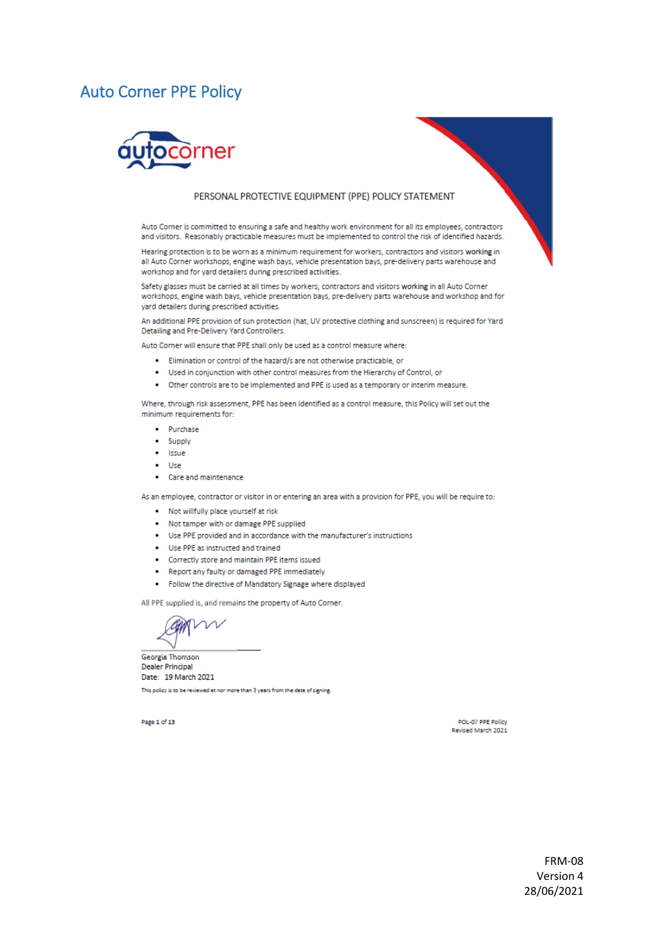#### <span id="page-5-0"></span>**Auto Corner PPE Policy**



#### PERSONAL PROTECTIVE EQUIPMENT (PPE) POLICY STATEMENT

Auto Corner is committed to ensuring a safe and healthy work environment for all its employees, contractors and visitors. Reasonably practicable measures must be implemented to control the risk of identified hazards.

Hearing protection is to be worn as a minimum requirement for workers, contractors and visitors working in all Auto Corner workshops, engine wash bays, vehicle presentation bays, pre-delivery parts warehouse and workshop and for yard detailers during prescribed activities.

Safety glasses must be carried at all times by workers, contractors and visitors working in all Auto Corner workshops, engine wash bays, vehicle presentation bays, pre-delivery parts warehouse and workshop and for vard detailers during prescribed activities.

An additional PPE provision of sun protection (hat, UV protective clothing and sunscreen) is required for Yard Detailing and Pre-Delivery Yard Controllers.

Auto Corner will ensure that PPE shall only be used as a control measure where:

- . Elimination or control of the hazard/s are not otherwise practicable, or
- . Used in conjunction with other control measures from the Hierarchy of Control, or
- . Other controls are to be implemented and PPE is used as a temporary or interim measure.

Where, through risk assessment, PPE has been identified as a control measure, this Policy will set out the minimum requirements for:

- Purchase
- Supply
- $\bullet$  Issue
- $\bullet$  Use
- Care and maintenance

As an employee, contractor or visitor in or entering an area with a provision for PPE, you will be require to:

- . Not willfully place yourself at risk
- . Not tamper with or damage PPE supplied
- Use PPE provided and in accordance with the manufacturer's instructions
- Use PPE as instructed and trained
- Correctly store and maintain PPE items issued
- . Report any faulty or damaged PPE immediately
- . Follow the directive of Mandatory Signage where displayed

All PPE supplied is, and remains the property of Auto Corner.

Georgia Thomson Dealer Principal Date: 19 March 2021 This policy is to be reviewed at nor more than 3 years from the date of signing.

Page 1 of 13

POL-07 PPE Policy Revised March 2021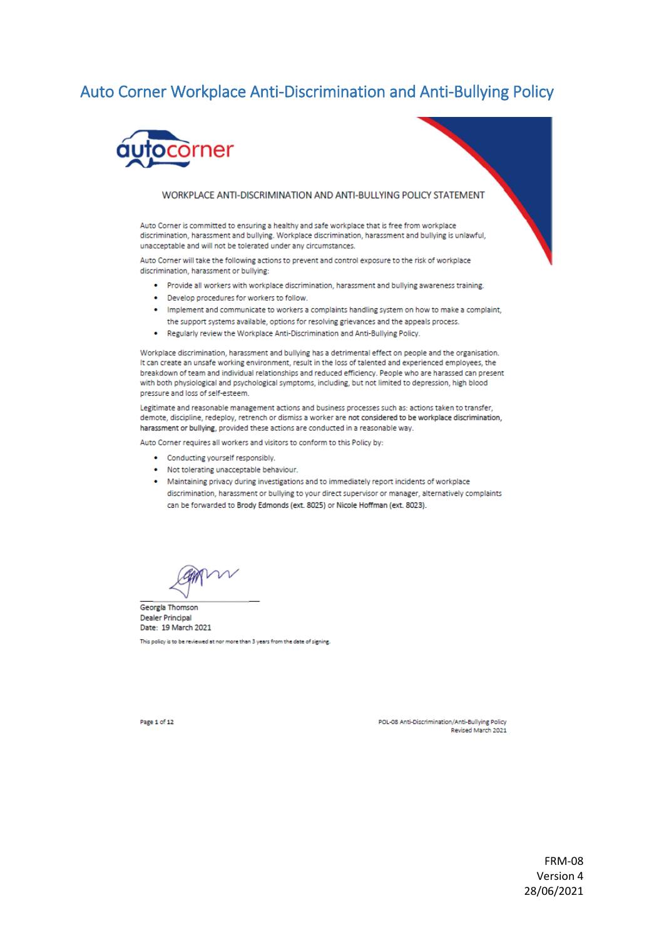## <span id="page-6-0"></span>Auto Corner Workplace Anti-Discrimination and Anti-Bullying Policy



#### WORKPLACE ANTI-DISCRIMINATION AND ANTI-BULLYING POLICY STATEMENT

Auto Corner is committed to ensuring a healthy and safe workplace that is free from workplace discrimination, harassment and bullying. Workplace discrimination, harassment and bullying is unlawful, unacceptable and will not be tolerated under any circumstances.

Auto Corner will take the following actions to prevent and control exposure to the risk of workplace discrimination, harassment or bullying:

- Provide all workers with workplace discrimination, harassment and bullying awareness training.
- Develop procedures for workers to follow.
- . Implement and communicate to workers a complaints handling system on how to make a complaint, the support systems available, options for resolving grievances and the appeals process.
- . Regularly review the Workplace Anti-Discrimination and Anti-Bullying Policy.

Workplace discrimination, harassment and bullying has a detrimental effect on people and the organisation. It can create an unsafe working environment, result in the loss of talented and experienced employees, the breakdown of team and individual relationships and reduced efficiency. People who are harassed can present with both physiological and psychological symptoms, including, but not limited to depression, high blood pressure and loss of self-esteem.

Legitimate and reasonable management actions and business processes such as: actions taken to transfer, demote, discipline, redeploy, retrench or dismiss a worker are not considered to be workplace discrimination, harassment or bullying, provided these actions are conducted in a reasonable way.

Auto Corner requires all workers and visitors to conform to this Policy by:

- Conducting yourself responsibly.
- Not tolerating unacceptable behaviour.
- Maintaining privacy during investigations and to immediately report incidents of workplace discrimination, harassment or bullying to your direct supervisor or manager, alternatively complaints can be forwarded to Brody Edmonds (ext. 8025) or Nicole Hoffman (ext. 8023).

Georgia Thomson **Dealer Principal** Date: 19 March 2021

This policy is to be reviewed at nor more than 3 years from the date of signing.

Page 1 of 12

POL-08 Anti-Discrimination/Anti-Bullying Policy Revised March 2021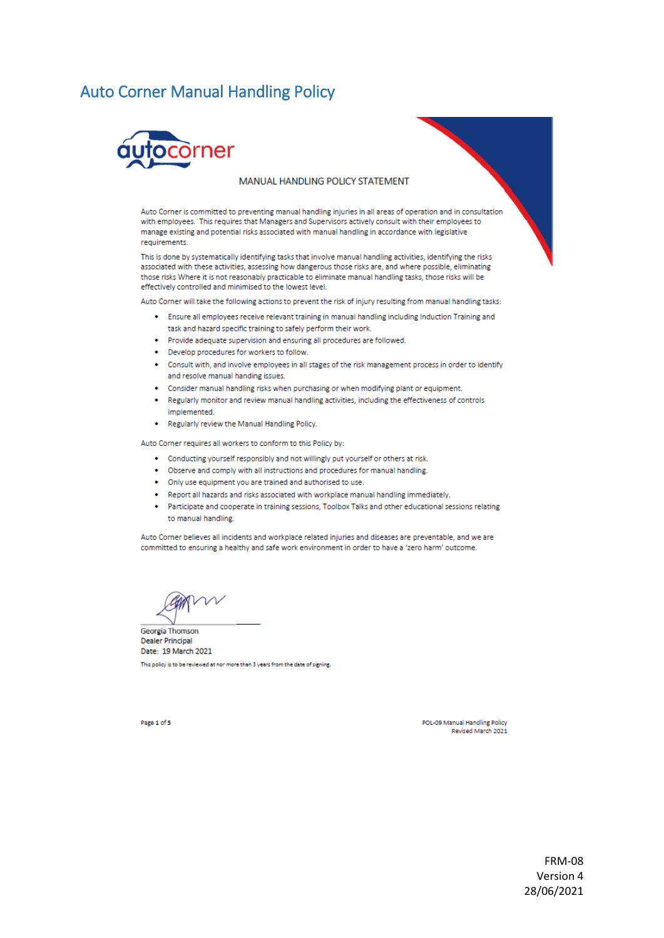### <span id="page-7-0"></span>**Auto Corner Manual Handling Policy**



#### MANUAL HANDLING POLICY STATEMENT

Auto Corner is committed to preventing manual handling injuries in all areas of operation and in consultation with employees. This requires that Managers and Supervisors actively consult with their employees to manage existing and potential risks associated with manual handling in accordance with legislative requirements.

This is done by systematically identifying tasks that involve manual handling activities, identifying the risks associated with these activities, assessing how dangerous those risks are, and where possible, eliminating those risks Where it is not reasonably practicable to eliminate manual handling tasks, those risks will be effectively controlled and minimised to the lowest level.

Auto Corner will take the following actions to prevent the risk of injury resulting from manual handling tasks:

- Ensure all employees receive relevant training in manual handling including Induction Training and task and hazard specific training to safely perform their work.
- . Provide adequate supervision and ensuring all procedures are followed.
- Develop procedures for workers to follow.
- . Consult with, and involve employees in all stages of the risk management process in order to identify and resolve manual handing issues.
- . Consider manual handling risks when purchasing or when modifying plant or equipment.
- . Regularly monitor and review manual handling activities, including the effectiveness of controls implemented.
- . Regularly review the Manual Handling Policy.

Auto Corner requires all workers to conform to this Policy by:

- Conducting yourself responsibly and not willingly put yourself or others at risk.
- . Observe and comply with all instructions and procedures for manual handling.
- . Only use equipment you are trained and authorised to use.
- Report all hazards and risks associated with workplace manual handling immediately.
- Participate and cooperate in training sessions, Toolbox Talks and other educational sessions relating to manual handling.

Auto Corner believes all incidents and workplace related injuries and diseases are preventable, and we are committed to ensuring a healthy and safe work environment in order to have a 'zero harm' outcome.

Georgia Thomson **Dealer Principal** Date: 19 March 2021

This policy is to be reviewed at nor more than 3 years from the date of signing.

Page 1 of 5

POL-09 Manual Handling Policy Revised March 2021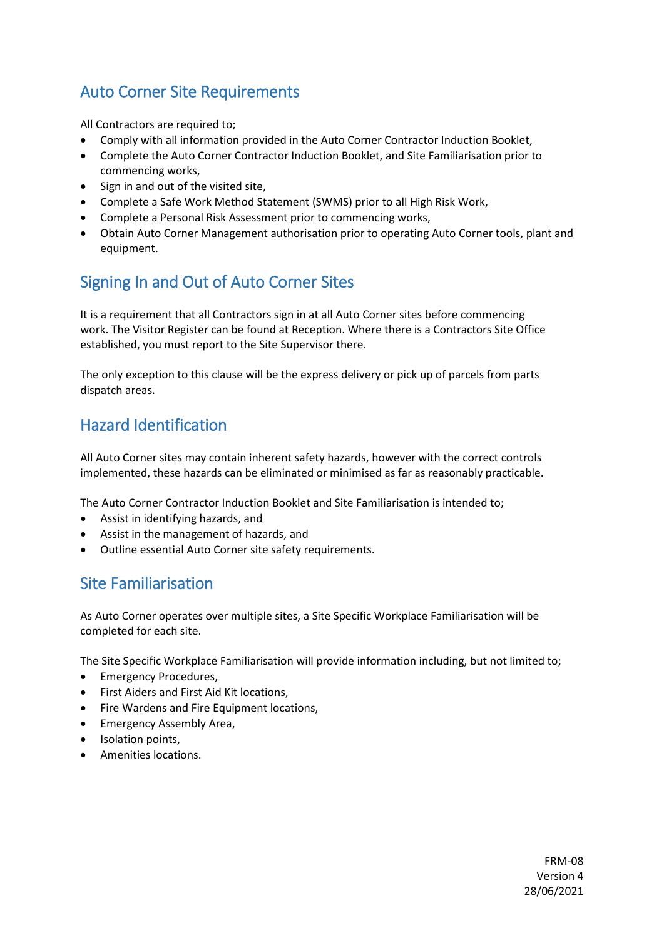## <span id="page-8-0"></span>Auto Corner Site Requirements

All Contractors are required to;

- Comply with all information provided in the Auto Corner Contractor Induction Booklet,
- Complete the Auto Corner Contractor Induction Booklet, and Site Familiarisation prior to commencing works,
- Sign in and out of the visited site,
- Complete a Safe Work Method Statement (SWMS) prior to all High Risk Work,
- Complete a Personal Risk Assessment prior to commencing works,
- Obtain Auto Corner Management authorisation prior to operating Auto Corner tools, plant and equipment.

## <span id="page-8-1"></span>Signing In and Out of Auto Corner Sites

It is a requirement that all Contractors sign in at all Auto Corner sites before commencing work. The Visitor Register can be found at Reception. Where there is a Contractors Site Office established, you must report to the Site Supervisor there.

The only exception to this clause will be the express delivery or pick up of parcels from parts dispatch areas.

## <span id="page-8-2"></span>Hazard Identification

All Auto Corner sites may contain inherent safety hazards, however with the correct controls implemented, these hazards can be eliminated or minimised as far as reasonably practicable.

The Auto Corner Contractor Induction Booklet and Site Familiarisation is intended to;

- Assist in identifying hazards, and
- Assist in the management of hazards, and
- Outline essential Auto Corner site safety requirements.

### <span id="page-8-3"></span>Site Familiarisation

As Auto Corner operates over multiple sites, a Site Specific Workplace Familiarisation will be completed for each site.

The Site Specific Workplace Familiarisation will provide information including, but not limited to;

- Emergency Procedures,
- First Aiders and First Aid Kit locations,
- Fire Wardens and Fire Equipment locations,
- Emergency Assembly Area,
- Isolation points,
- Amenities locations.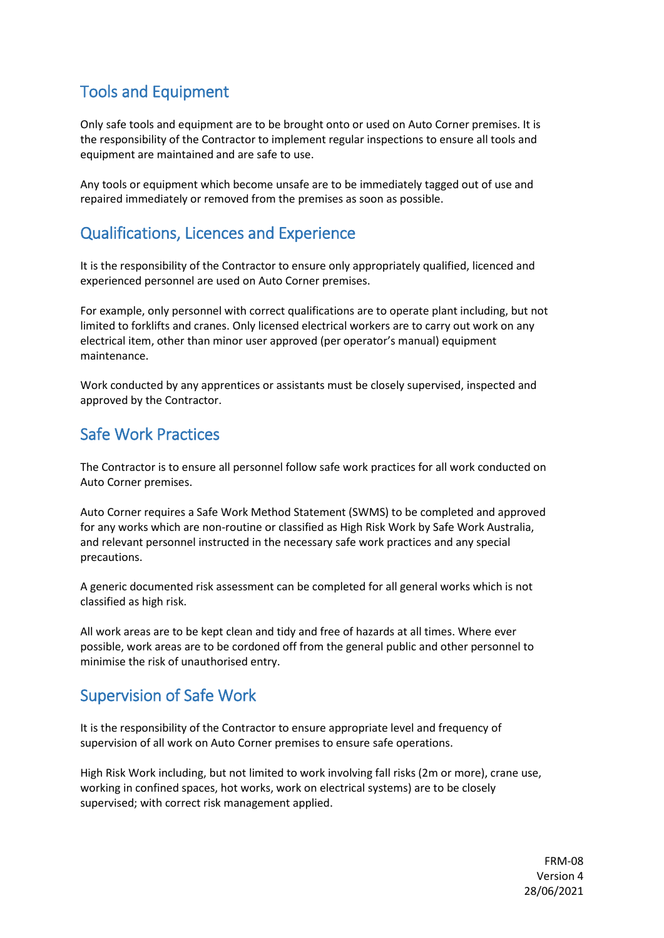## <span id="page-9-0"></span>Tools and Equipment

Only safe tools and equipment are to be brought onto or used on Auto Corner premises. It is the responsibility of the Contractor to implement regular inspections to ensure all tools and equipment are maintained and are safe to use.

Any tools or equipment which become unsafe are to be immediately tagged out of use and repaired immediately or removed from the premises as soon as possible.

## <span id="page-9-1"></span>Qualifications, Licences and Experience

It is the responsibility of the Contractor to ensure only appropriately qualified, licenced and experienced personnel are used on Auto Corner premises.

For example, only personnel with correct qualifications are to operate plant including, but not limited to forklifts and cranes. Only licensed electrical workers are to carry out work on any electrical item, other than minor user approved (per operator's manual) equipment maintenance.

Work conducted by any apprentices or assistants must be closely supervised, inspected and approved by the Contractor.

### <span id="page-9-2"></span>Safe Work Practices

The Contractor is to ensure all personnel follow safe work practices for all work conducted on Auto Corner premises.

Auto Corner requires a Safe Work Method Statement (SWMS) to be completed and approved for any works which are non-routine or classified as High Risk Work by Safe Work Australia, and relevant personnel instructed in the necessary safe work practices and any special precautions.

A generic documented risk assessment can be completed for all general works which is not classified as high risk.

All work areas are to be kept clean and tidy and free of hazards at all times. Where ever possible, work areas are to be cordoned off from the general public and other personnel to minimise the risk of unauthorised entry.

## <span id="page-9-3"></span>Supervision of Safe Work

It is the responsibility of the Contractor to ensure appropriate level and frequency of supervision of all work on Auto Corner premises to ensure safe operations.

High Risk Work including, but not limited to work involving fall risks (2m or more), crane use, working in confined spaces, hot works, work on electrical systems) are to be closely supervised; with correct risk management applied.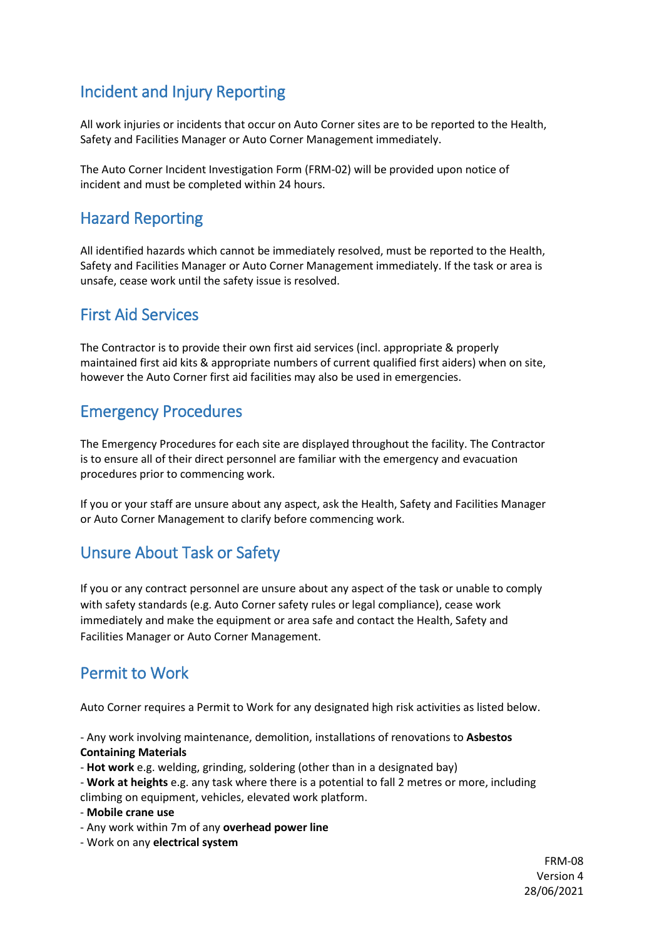# <span id="page-10-0"></span>Incident and Injury Reporting

All work injuries or incidents that occur on Auto Corner sites are to be reported to the Health, Safety and Facilities Manager or Auto Corner Management immediately.

The Auto Corner Incident Investigation Form (FRM-02) will be provided upon notice of incident and must be completed within 24 hours.

### <span id="page-10-1"></span>Hazard Reporting

All identified hazards which cannot be immediately resolved, must be reported to the Health, Safety and Facilities Manager or Auto Corner Management immediately. If the task or area is unsafe, cease work until the safety issue is resolved.

### <span id="page-10-2"></span>First Aid Services

The Contractor is to provide their own first aid services (incl. appropriate & properly maintained first aid kits & appropriate numbers of current qualified first aiders) when on site, however the Auto Corner first aid facilities may also be used in emergencies.

## <span id="page-10-3"></span>Emergency Procedures

The Emergency Procedures for each site are displayed throughout the facility. The Contractor is to ensure all of their direct personnel are familiar with the emergency and evacuation procedures prior to commencing work.

If you or your staff are unsure about any aspect, ask the Health, Safety and Facilities Manager or Auto Corner Management to clarify before commencing work.

## <span id="page-10-4"></span>Unsure About Task or Safety

If you or any contract personnel are unsure about any aspect of the task or unable to comply with safety standards (e.g. Auto Corner safety rules or legal compliance), cease work immediately and make the equipment or area safe and contact the Health, Safety and Facilities Manager or Auto Corner Management.

## <span id="page-10-5"></span>Permit to Work

Auto Corner requires a Permit to Work for any designated high risk activities as listed below.

- Any work involving maintenance, demolition, installations of renovations to **Asbestos Containing Materials** 

- **Hot work** e.g. welding, grinding, soldering (other than in a designated bay)
- **Work at heights** e.g. any task where there is a potential to fall 2 metres or more, including climbing on equipment, vehicles, elevated work platform.

- **Mobile crane use**

- Any work within 7m of any **overhead power line**
- Work on any **electrical system**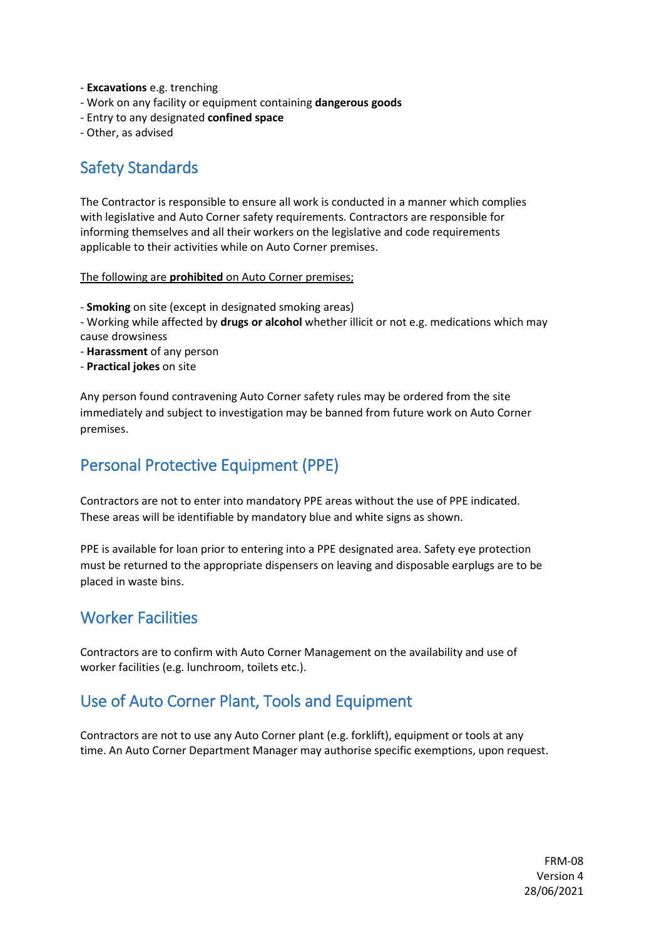- **Excavations** e.g. trenching
- Work on any facility or equipment containing **dangerous goods**
- Entry to any designated **confined space**

- Other, as advised

## <span id="page-11-0"></span>Safety Standards

The Contractor is responsible to ensure all work is conducted in a manner which complies with legislative and Auto Corner safety requirements. Contractors are responsible for informing themselves and all their workers on the legislative and code requirements applicable to their activities while on Auto Corner premises.

The following are **prohibited** on Auto Corner premises;

- **Smoking** on site (except in designated smoking areas)

- Working while affected by **drugs or alcohol** whether illicit or not e.g. medications which may cause drowsiness

- **Harassment** of any person
- **Practical jokes** on site

Any person found contravening Auto Corner safety rules may be ordered from the site immediately and subject to investigation may be banned from future work on Auto Corner premises.

## <span id="page-11-1"></span>Personal Protective Equipment (PPE)

Contractors are not to enter into mandatory PPE areas without the use of PPE indicated. These areas will be identifiable by mandatory blue and white signs as shown.

PPE is available for loan prior to entering into a PPE designated area. Safety eye protection must be returned to the appropriate dispensers on leaving and disposable earplugs are to be placed in waste bins.

### <span id="page-11-2"></span>Worker Facilities

Contractors are to confirm with Auto Corner Management on the availability and use of worker facilities (e.g. lunchroom, toilets etc.).

## <span id="page-11-3"></span>Use of Auto Corner Plant, Tools and Equipment

Contractors are not to use any Auto Corner plant (e.g. forklift), equipment or tools at any time. An Auto Corner Department Manager may authorise specific exemptions, upon request.